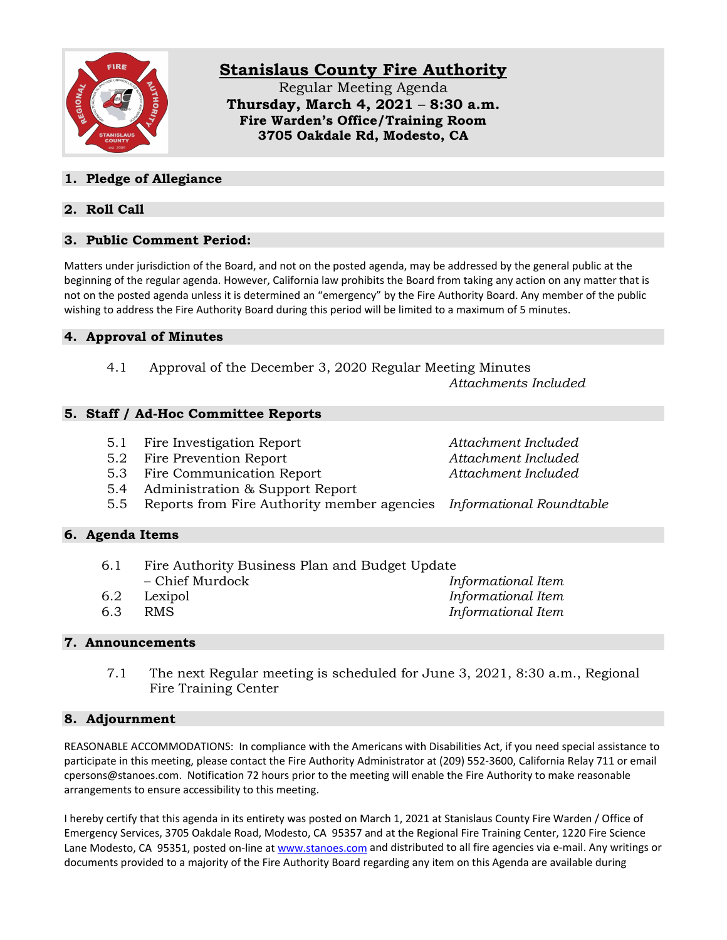

# **Stanislaus County Fire Authority**

Regular Meeting Agenda **Thursday, March 4, 2021** – **8:30 a.m. Fire Warden's Office/Training Room 3705 Oakdale Rd, Modesto, CA**

# **1. Pledge of Allegiance**

# **2. Roll Call**

## **3. Public Comment Period:**

Matters under jurisdiction of the Board, and not on the posted agenda, may be addressed by the general public at the beginning of the regular agenda. However, California law prohibits the Board from taking any action on any matter that is not on the posted agenda unless it is determined an "emergency" by the Fire Authority Board. Any member of the public wishing to address the Fire Authority Board during this period will be limited to a maximum of 5 minutes.

## **4. Approval of Minutes**

4.1 Approval of the December 3, 2020 Regular Meeting Minutes *Attachments Included*

#### **5. Staff / Ad-Hoc Committee Reports**

- 5.1 Fire Investigation Report *Attachment Included*
- 5.2 Fire Prevention Report *Attachment Included*
- 5.3 Fire Communication Report *Attachment Included*
- 5.4 Administration & Support Report
- 5.5 Reports from Fire Authority member agencies *Informational Roundtable*

#### **6. Agenda Items**

| 6.1 | Fire Authority Business Plan and Budget Update |  |  |
|-----|------------------------------------------------|--|--|
|     |                                                |  |  |

- 
- 
- 6.3 RMS *Informational Item*

– Chief Murdock *Informational Item* 6.2 Lexipol *Informational Item*

#### **7. Announcements**

7.1 The next Regular meeting is scheduled for June 3, 2021, 8:30 a.m., Regional Fire Training Center

#### **8. Adjournment**

REASONABLE ACCOMMODATIONS: In compliance with the Americans with Disabilities Act, if you need special assistance to participate in this meeting, please contact the Fire Authority Administrator at (209) 552-3600, California Relay 711 or email cpersons@stanoes.com. Notification 72 hours prior to the meeting will enable the Fire Authority to make reasonable arrangements to ensure accessibility to this meeting.

I hereby certify that this agenda in its entirety was posted on March 1, 2021 at Stanislaus County Fire Warden / Office of Emergency Services, 3705 Oakdale Road, Modesto, CA 95357 and at the Regional Fire Training Center, 1220 Fire Science Lane Modesto, CA 95351, posted on-line at [www.stanoes.com](http://www.stanoes.com/) and distributed to all fire agencies via e-mail. Any writings or documents provided to a majority of the Fire Authority Board regarding any item on this Agenda are available during